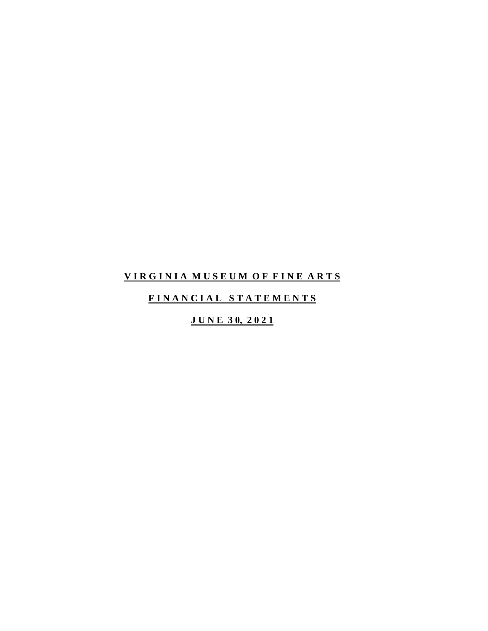## **V I R G I N I A M U S E U M O F F I N E A R T S**

## **F I N A N C I A L S T A T E M E N T S**

## **J U N E 3 0, 2 0 2 1**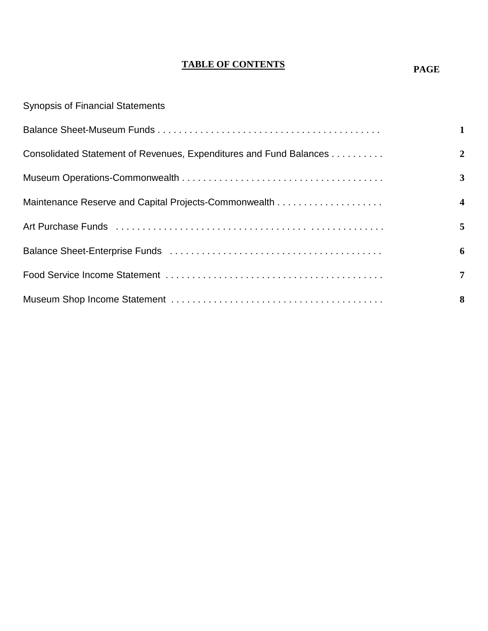## **TABLE OF CONTENTS**

**PAGE**

| <b>Synopsis of Financial Statements</b>                            |                         |
|--------------------------------------------------------------------|-------------------------|
|                                                                    | $\mathbf{1}$            |
| Consolidated Statement of Revenues, Expenditures and Fund Balances | $\overline{2}$          |
|                                                                    | 3                       |
|                                                                    | $\overline{\mathbf{4}}$ |
|                                                                    | 5                       |
|                                                                    | 6                       |
|                                                                    | $\overline{7}$          |
|                                                                    | 8                       |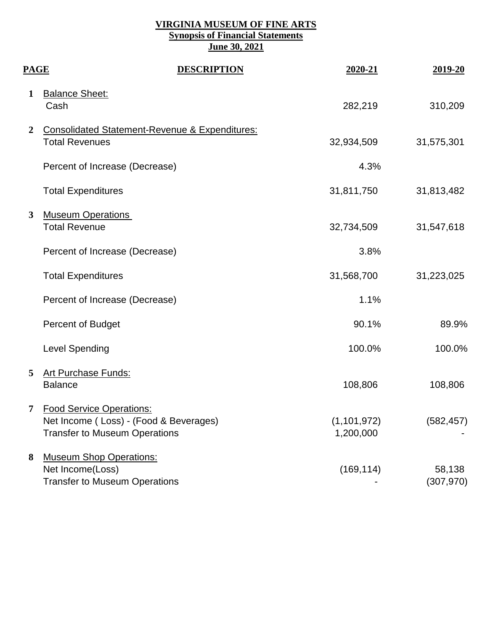#### **VIRGINIA MUSEUM OF FINE ARTS Synopsis of Financial Statements June 30, 2021**

| <b>PAGE</b>    |                                                                                                                   | <b>DESCRIPTION</b> | 2020-21                    | 2019-20              |
|----------------|-------------------------------------------------------------------------------------------------------------------|--------------------|----------------------------|----------------------|
| 1              | <b>Balance Sheet:</b><br>Cash                                                                                     |                    | 282,219                    | 310,209              |
| $\overline{2}$ | <b>Consolidated Statement-Revenue &amp; Expenditures:</b><br><b>Total Revenues</b>                                |                    | 32,934,509                 | 31,575,301           |
|                | Percent of Increase (Decrease)                                                                                    |                    | 4.3%                       |                      |
|                | <b>Total Expenditures</b>                                                                                         |                    | 31,811,750                 | 31,813,482           |
| $\mathbf{3}$   | <b>Museum Operations</b><br><b>Total Revenue</b>                                                                  |                    | 32,734,509                 | 31,547,618           |
|                | Percent of Increase (Decrease)                                                                                    |                    | 3.8%                       |                      |
|                | <b>Total Expenditures</b>                                                                                         |                    | 31,568,700                 | 31,223,025           |
|                | Percent of Increase (Decrease)                                                                                    |                    | 1.1%                       |                      |
|                | <b>Percent of Budget</b>                                                                                          |                    | 90.1%                      | 89.9%                |
|                | <b>Level Spending</b>                                                                                             |                    | 100.0%                     | 100.0%               |
| 5              | <b>Art Purchase Funds:</b><br><b>Balance</b>                                                                      |                    | 108,806                    | 108,806              |
| 7              | <b>Food Service Operations:</b><br>Net Income (Loss) - (Food & Beverages)<br><b>Transfer to Museum Operations</b> |                    | (1, 101, 972)<br>1,200,000 | (582, 457)           |
| 8              | <b>Museum Shop Operations:</b><br>Net Income(Loss)<br><b>Transfer to Museum Operations</b>                        |                    | (169, 114)                 | 58,138<br>(307, 970) |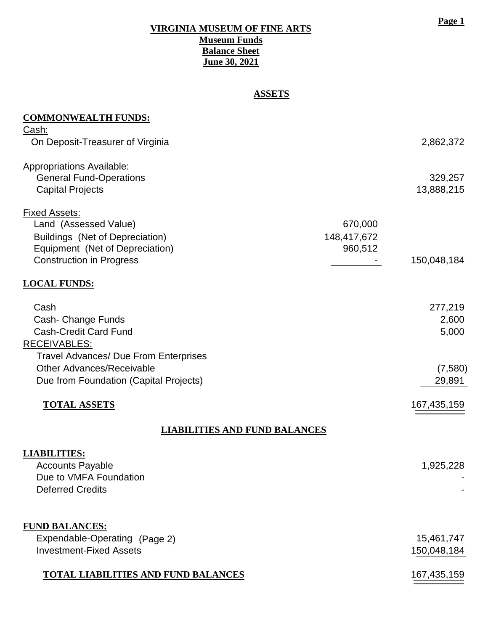#### **VIRGINIA MUSEUM OF FINE ARTS Museum Funds Balance Sheet June 30, 2021**

## **ASSETS**

| <b>COMMONWEALTH FUNDS:</b>                             |             |             |
|--------------------------------------------------------|-------------|-------------|
| <u>Cash:</u><br>On Deposit-Treasurer of Virginia       |             | 2,862,372   |
|                                                        |             |             |
| <b>Appropriations Available:</b>                       |             |             |
| <b>General Fund-Operations</b>                         |             | 329,257     |
| <b>Capital Projects</b>                                |             | 13,888,215  |
| <b>Fixed Assets:</b>                                   |             |             |
| Land (Assessed Value)                                  | 670,000     |             |
| <b>Buildings (Net of Depreciation)</b>                 | 148,417,672 |             |
| Equipment (Net of Depreciation)                        | 960,512     |             |
| <b>Construction in Progress</b>                        |             | 150,048,184 |
| <b>LOCAL FUNDS:</b>                                    |             |             |
| Cash                                                   |             | 277,219     |
| Cash- Change Funds                                     |             | 2,600       |
| <b>Cash-Credit Card Fund</b>                           |             | 5,000       |
| <b>RECEIVABLES:</b>                                    |             |             |
| <b>Travel Advances/ Due From Enterprises</b>           |             |             |
| <b>Other Advances/Receivable</b>                       |             | (7,580)     |
| Due from Foundation (Capital Projects)                 |             | 29,891      |
| <b>TOTAL ASSETS</b>                                    |             |             |
|                                                        |             | 167,435,159 |
| <b>LIABILITIES AND FUND BALANCES</b>                   |             |             |
| <b>LIABILITIES:</b>                                    |             |             |
| <b>Accounts Payable</b>                                |             | 1,925,228   |
| Due to VMFA Foundation                                 |             |             |
| <b>Deferred Credits</b>                                |             |             |
|                                                        |             |             |
| <b>FUND BALANCES:</b><br>Expendable-Operating (Page 2) |             | 15,461,747  |
| <b>Investment-Fixed Assets</b>                         |             |             |
|                                                        |             | 150,048,184 |
| <b>TOTAL LIABILITIES AND FUND BALANCES</b>             |             | 167,435,159 |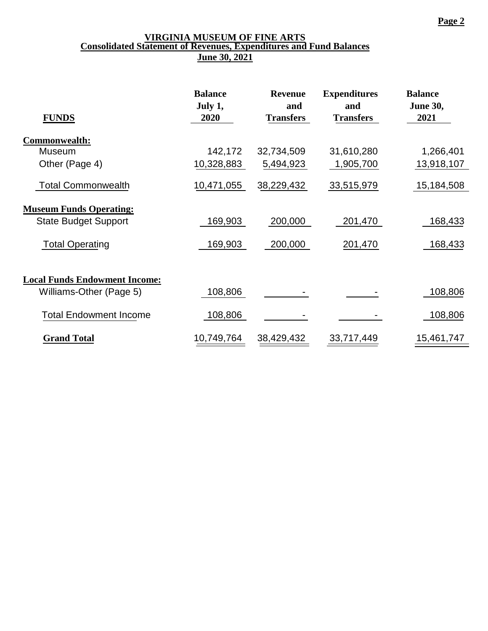#### **VIRGINIA MUSEUM OF FINE ARTS Consolidated Statement of Revenues, Expenditures and Fund Balances June 30, 2021**

|                                      | <b>Balance</b><br>July 1, | <b>Revenue</b><br>and | <b>Expenditures</b><br>and | <b>Balance</b><br><b>June 30,</b> |
|--------------------------------------|---------------------------|-----------------------|----------------------------|-----------------------------------|
| <b>FUNDS</b>                         | 2020                      | <b>Transfers</b>      | <b>Transfers</b>           | 2021                              |
| Commonwealth:                        |                           |                       |                            |                                   |
| Museum                               | 142,172                   | 32,734,509            | 31,610,280                 | 1,266,401                         |
| Other (Page 4)                       | 10,328,883                | 5,494,923             | 1,905,700                  | 13,918,107                        |
| <b>Total Commonwealth</b>            | 10,471,055                | 38,229,432            | 33,515,979                 | 15,184,508                        |
| <b>Museum Funds Operating:</b>       |                           |                       |                            |                                   |
| <b>State Budget Support</b>          | 169,903                   | 200,000               | 201,470                    | 168,433                           |
| <b>Total Operating</b>               | 169,903                   | 200,000               | 201,470                    | 168,433                           |
| <b>Local Funds Endowment Income:</b> |                           |                       |                            |                                   |
| Williams-Other (Page 5)              | 108,806                   |                       |                            | 108,806                           |
| <b>Total Endowment Income</b>        | 108,806                   |                       |                            | 108,806                           |
| <b>Grand Total</b>                   | 10,749,764                | 38,429,432            | 33,717,449                 | 15,461,747                        |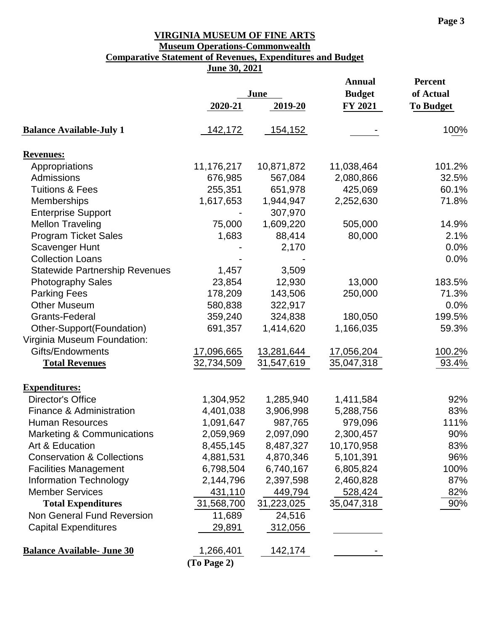## **VIRGINIA MUSEUM OF FINE ARTS Museum Operations-Commonwealth**

# **Comparative Statement of Revenues, Expenditures and Budget**

**June 30, 2021**

|                                       |             |            | Annual        | <b>Percent</b>   |
|---------------------------------------|-------------|------------|---------------|------------------|
|                                       | June        |            | <b>Budget</b> | of Actual        |
|                                       | 2020-21     | 2019-20    | FY 2021       | <b>To Budget</b> |
| <b>Balance Available-July 1</b>       | 142,172     | 154,152    |               | 100%             |
| <b>Revenues:</b>                      |             |            |               |                  |
| Appropriations                        | 11,176,217  | 10,871,872 | 11,038,464    | 101.2%           |
| Admissions                            | 676,985     | 567,084    | 2,080,866     | 32.5%            |
| <b>Tuitions &amp; Fees</b>            | 255,351     | 651,978    | 425,069       | 60.1%            |
| Memberships                           | 1,617,653   | 1,944,947  | 2,252,630     | 71.8%            |
| <b>Enterprise Support</b>             |             | 307,970    |               |                  |
| <b>Mellon Traveling</b>               | 75,000      | 1,609,220  | 505,000       | 14.9%            |
| <b>Program Ticket Sales</b>           | 1,683       | 88,414     | 80,000        | 2.1%             |
| <b>Scavenger Hunt</b>                 |             | 2,170      |               | 0.0%             |
| <b>Collection Loans</b>               |             |            |               | 0.0%             |
| <b>Statewide Partnership Revenues</b> | 1,457       | 3,509      |               |                  |
| <b>Photography Sales</b>              | 23,854      | 12,930     | 13,000        | 183.5%           |
| <b>Parking Fees</b>                   | 178,209     | 143,506    | 250,000       | 71.3%            |
| <b>Other Museum</b>                   | 580,838     | 322,917    |               | 0.0%             |
| Grants-Federal                        | 359,240     | 324,838    | 180,050       | 199.5%           |
| Other-Support(Foundation)             | 691,357     | 1,414,620  | 1,166,035     | 59.3%            |
| Virginia Museum Foundation:           |             |            |               |                  |
| Gifts/Endowments                      | 17,096,665  | 13,281,644 | 17,056,204    | 100.2%           |
| <b>Total Revenues</b>                 | 32,734,509  | 31,547,619 | 35,047,318    | 93.4%            |
| <b>Expenditures:</b>                  |             |            |               |                  |
| <b>Director's Office</b>              | 1,304,952   | 1,285,940  | 1,411,584     | 92%              |
| Finance & Administration              | 4,401,038   | 3,906,998  | 5,288,756     | 83%              |
| <b>Human Resources</b>                | 1,091,647   | 987,765    | 979,096       | 111%             |
| <b>Marketing &amp; Communications</b> | 2,059,969   | 2,097,090  | 2,300,457     | 90%              |
| Art & Education                       | 8,455,145   | 8,487,327  | 10,170,958    | 83%              |
| <b>Conservation &amp; Collections</b> | 4,881,531   | 4,870,346  | 5,101,391     | 96%              |
| <b>Facilities Management</b>          | 6,798,504   | 6,740,167  | 6,805,824     | 100%             |
| <b>Information Technology</b>         | 2,144,796   | 2,397,598  | 2,460,828     | 87%              |
| <b>Member Services</b>                | 431,110     | 449,794    | 528,424       | 82%              |
| <b>Total Expenditures</b>             | 31,568,700  | 31,223,025 | 35,047,318    | 90%              |
| Non General Fund Reversion            | 11,689      | 24,516     |               |                  |
| <b>Capital Expenditures</b>           | 29,891      | 312,056    |               |                  |
| <b>Balance Available- June 30</b>     | 1,266,401   | 142,174    |               |                  |
|                                       | (To Page 2) |            |               |                  |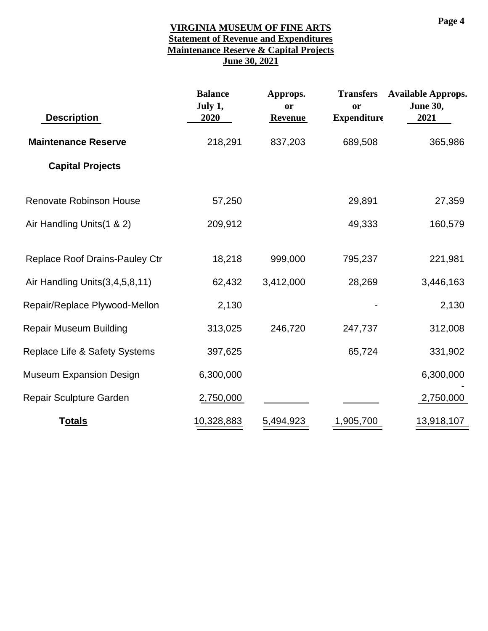#### **VIRGINIA MUSEUM OF FINE ARTS Statement of Revenue and Expenditures Maintenance Reserve & Capital Projects June 30, 2021**

| <b>Description</b>                       | <b>Balance</b><br>July 1,<br>2020 | Approps.<br>or<br>Revenue | <b>Transfers</b><br>or<br><b>Expenditure</b> | <b>Available Approps.</b><br><b>June 30,</b><br>2021 |
|------------------------------------------|-----------------------------------|---------------------------|----------------------------------------------|------------------------------------------------------|
| <b>Maintenance Reserve</b>               | 218,291                           | 837,203                   | 689,508                                      | 365,986                                              |
| <b>Capital Projects</b>                  |                                   |                           |                                              |                                                      |
| <b>Renovate Robinson House</b>           | 57,250                            |                           | 29,891                                       | 27,359                                               |
| Air Handling Units (1 & 2)               | 209,912                           |                           | 49,333                                       | 160,579                                              |
| <b>Replace Roof Drains-Pauley Ctr</b>    | 18,218                            | 999,000                   | 795,237                                      | 221,981                                              |
| Air Handling Units (3,4,5,8,11)          | 62,432                            | 3,412,000                 | 28,269                                       | 3,446,163                                            |
| Repair/Replace Plywood-Mellon            | 2,130                             |                           |                                              | 2,130                                                |
| <b>Repair Museum Building</b>            | 313,025                           | 246,720                   | 247,737                                      | 312,008                                              |
| <b>Replace Life &amp; Safety Systems</b> | 397,625                           |                           | 65,724                                       | 331,902                                              |
| <b>Museum Expansion Design</b>           | 6,300,000                         |                           |                                              | 6,300,000                                            |
| Repair Sculpture Garden                  | 2,750,000                         |                           |                                              | 2,750,000                                            |
| <b>Totals</b>                            | 10,328,883                        | 5,494,923                 | 1,905,700                                    | 13,918,107                                           |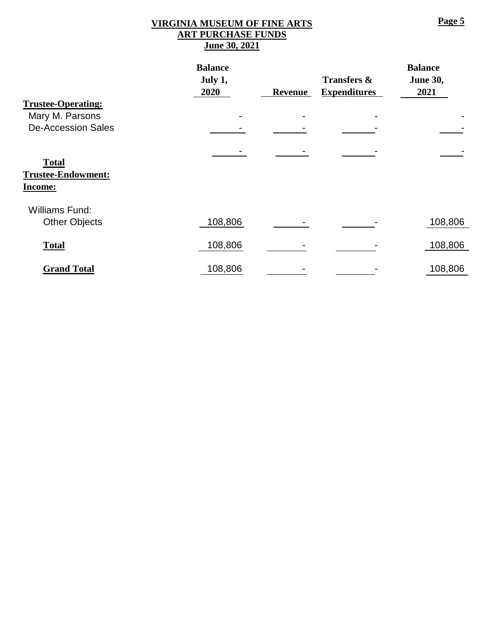#### **VIRGINIA MUSEUM OF FINE ARTS ART PURCHASE FUNDS June 30, 2021**

|                                                             | <b>Balance</b> |                |                        | <b>Balance</b>  |
|-------------------------------------------------------------|----------------|----------------|------------------------|-----------------|
|                                                             | July 1,        |                | <b>Transfers &amp;</b> | <b>June 30,</b> |
|                                                             | <b>2020</b>    | <b>Revenue</b> | <b>Expenditures</b>    | 2021            |
| <b>Trustee-Operating:</b>                                   |                |                |                        |                 |
| Mary M. Parsons                                             |                |                |                        |                 |
| <b>De-Accession Sales</b>                                   |                |                |                        |                 |
|                                                             |                |                |                        |                 |
| <b>Total</b><br><b>Trustee-Endowment:</b><br><b>Income:</b> |                |                |                        |                 |
| <b>Williams Fund:</b>                                       |                |                |                        |                 |
| <b>Other Objects</b>                                        | 108,806        |                |                        | 108,806         |
| <b>Total</b>                                                | 108,806        |                |                        | 108,806         |
| <b>Grand Total</b>                                          | 108,806        |                |                        | 108,806         |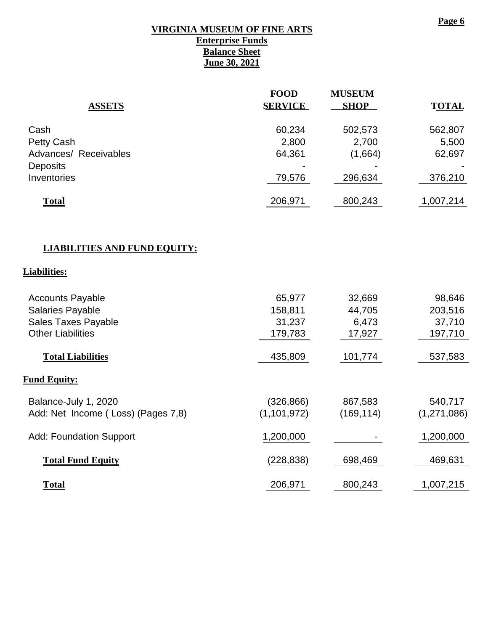#### **VIRGINIA MUSEUM OF FINE ARTS**

**Enterprise Funds Balance Sheet June 30, 2021**

# **FOOD MUSEUM ASSETS SERVICE SHOP TOTAL** Cash 60,234 502,573 562,807 Petty Cash 6,500 2,800 2,700 5,500 Advances/ Receivables 64,361 (1,664) 62,697 Deposits and the contract of the contract of the contract of the contract of the contract of the contract of the contract of the contract of the contract of the contract of the contract of the contract of the contract of t Inventories 296,634 376,210 **Total** 206,971 800,243 1,007,214

#### **LIABILITIES AND FUND EQUITY:**

#### **Liabilities:**

| <b>Accounts Payable</b>            | 65,977        | 32,669     | 98,646      |
|------------------------------------|---------------|------------|-------------|
| <b>Salaries Payable</b>            | 158,811       | 44,705     | 203,516     |
| <b>Sales Taxes Payable</b>         | 31,237        | 6,473      | 37,710      |
| <b>Other Liabilities</b>           | 179,783       | 17,927     | 197,710     |
|                                    |               |            |             |
| <b>Total Liabilities</b>           | 435,809       | 101,774    | 537,583     |
|                                    |               |            |             |
| <b>Fund Equity:</b>                |               |            |             |
| Balance-July 1, 2020               | (326, 866)    | 867,583    | 540,717     |
| Add: Net Income (Loss) (Pages 7,8) | (1, 101, 972) | (169, 114) | (1,271,086) |
|                                    |               |            |             |
| <b>Add: Foundation Support</b>     | 1,200,000     |            | 1,200,000   |
|                                    |               |            |             |
| <b>Total Fund Equity</b>           | (228, 838)    | 698,469    | 469,631     |
|                                    |               |            |             |
| <b>Total</b>                       | 206,971       | 800,243    | 1,007,215   |

#### **Page 6**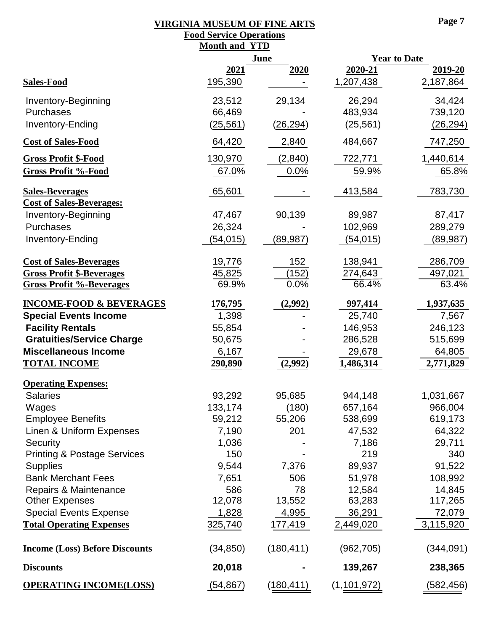## **VIRGINIA MUSEUM OF FINE ARTS**

|                                        | <b>Food Service Operations</b> |            |                      |                      |
|----------------------------------------|--------------------------------|------------|----------------------|----------------------|
|                                        | <b>Month and YTD</b>           |            |                      |                      |
|                                        | June                           |            | <b>Year to Date</b>  |                      |
| <b>Sales-Food</b>                      | <u>2021</u><br>195,390         | 2020       | 2020-21<br>1,207,438 | 2019-20<br>2,187,864 |
| Inventory-Beginning                    | 23,512                         | 29,134     | 26,294               | 34,424               |
| Purchases                              | 66,469                         |            | 483,934              | 739,120              |
| Inventory-Ending                       | (25,561)                       | (26, 294)  | (25, 561)            | (26, 294)            |
|                                        |                                |            |                      |                      |
| <b>Cost of Sales-Food</b>              | 64,420                         | 2,840      | 484,667              | 747,250              |
| <b>Gross Profit \$-Food</b>            | 130,970                        | (2,840)    | 722,771              | 1,440,614            |
| <b>Gross Profit %-Food</b>             | 67.0%                          | 0.0%       | 59.9%                | 65.8%                |
| <b>Sales-Beverages</b>                 | 65,601                         |            | 413,584              | 783,730              |
| <b>Cost of Sales-Beverages:</b>        |                                |            |                      |                      |
| <b>Inventory-Beginning</b>             | 47,467                         | 90,139     | 89,987               | 87,417               |
| Purchases                              | 26,324                         |            | 102,969              | 289,279              |
| Inventory-Ending                       | (54, 015)                      | (89, 987)  | (54, 015)            | (89, 987)            |
| <b>Cost of Sales-Beverages</b>         | 19,776                         | 152        | 138,941              | 286,709              |
| <b>Gross Profit \$-Beverages</b>       | 45,825                         | (152)      | 274,643              | 497,021              |
| <b>Gross Profit %-Beverages</b>        | 69.9%                          | 0.0%       | 66.4%                | 63.4%                |
| <b>INCOME-FOOD &amp; BEVERAGES</b>     | 176,795                        | (2,992)    | 997,414              | 1,937,635            |
| <b>Special Events Income</b>           | 1,398                          |            | 25,740               | 7,567                |
| <b>Facility Rentals</b>                | 55,854                         |            | 146,953              | 246,123              |
| <b>Gratuities/Service Charge</b>       | 50,675                         |            | 286,528              | 515,699              |
| <b>Miscellaneous Income</b>            | 6,167                          |            | 29,678               | 64,805               |
| <b>TOTAL INCOME</b>                    | 290,890                        | (2,992)    | 1,486,314            | 2,771,829            |
| <b>Operating Expenses:</b>             |                                |            |                      |                      |
| <b>Salaries</b>                        | 93,292                         | 95,685     | 944,148              | 1,031,667            |
| Wages                                  | 133,174                        | (180)      | 657,164              | 966,004              |
| <b>Employee Benefits</b>               | 59,212                         | 55,206     | 538,699              | 619,173              |
| Linen & Uniform Expenses               | 7,190                          | 201        | 47,532               | 64,322               |
| Security                               | 1,036                          |            | 7,186                | 29,711               |
| <b>Printing &amp; Postage Services</b> | 150                            |            | 219                  | 340                  |
| <b>Supplies</b>                        | 9,544                          | 7,376      | 89,937               | 91,522               |
| <b>Bank Merchant Fees</b>              | 7,651                          | 506        | 51,978               | 108,992              |
| Repairs & Maintenance                  | 586                            | 78         | 12,584               | 14,845               |
| <b>Other Expenses</b>                  | 12,078                         | 13,552     | 63,283               | 117,265              |
| <b>Special Events Expense</b>          | 1,828                          | 4,995      | 36,291               | 72,079               |
| <b>Total Operating Expenses</b>        | 325,740                        | 177,419    | 2,449,020            | 3,115,920            |
| <b>Income (Loss) Before Discounts</b>  | (34, 850)                      | (180, 411) | (962, 705)           | (344,091)            |
| <b>Discounts</b>                       | 20,018                         |            | 139,267              | 238,365              |
| <b>OPERATING INCOME(LOSS)</b>          | (54, 867)                      | (180, 411) | (1, 101, 972)        | (582, 456)           |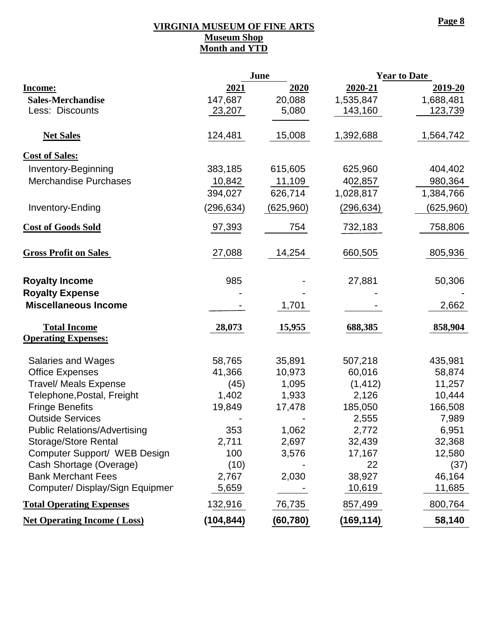#### **VIRGINIA MUSEUM OF FINE ARTS Museum Shop Month and YTD**

|                                              |            | June       |            | <b>Year to Date</b> |
|----------------------------------------------|------------|------------|------------|---------------------|
| <b>Income:</b>                               | 2021       | 2020       | 2020-21    | 2019-20             |
| <b>Sales-Merchandise</b>                     | 147,687    | 20,088     | 1,535,847  | 1,688,481           |
| Less: Discounts                              | 23,207     | 5,080      | 143,160    | 123,739             |
|                                              |            |            |            |                     |
| <b>Net Sales</b>                             | 124,481    | 15,008     | 1,392,688  | 1,564,742           |
| <b>Cost of Sales:</b>                        |            |            |            |                     |
| <b>Inventory-Beginning</b>                   | 383,185    | 615,605    | 625,960    | 404,402             |
| <b>Merchandise Purchases</b>                 | 10,842     | 11,109     | 402,857    | 980,364             |
|                                              | 394,027    | 626,714    | 1,028,817  | 1,384,766           |
| Inventory-Ending                             | (296, 634) | (625, 960) | (296, 634) | (625,960)           |
|                                              |            |            |            |                     |
| <b>Cost of Goods Sold</b>                    | 97,393     | 754        | 732,183    | 758,806             |
|                                              |            |            |            |                     |
| <b>Gross Profit on Sales</b>                 | 27,088     | 14,254     | 660,505    | 805,936             |
|                                              |            |            |            |                     |
| <b>Royalty Income</b>                        | 985        |            | 27,881     | 50,306              |
| <b>Royalty Expense</b>                       |            |            |            |                     |
| <b>Miscellaneous Income</b>                  |            | 1,701      |            | 2,662               |
| <b>Total Income</b>                          | 28,073     | 15,955     | 688,385    | 858,904             |
| <b>Operating Expenses:</b>                   |            |            |            |                     |
|                                              | 58,765     | 35,891     | 507,218    | 435,981             |
| Salaries and Wages<br><b>Office Expenses</b> | 41,366     | 10,973     | 60,016     | 58,874              |
| <b>Travel/ Meals Expense</b>                 | (45)       | 1,095      | (1, 412)   | 11,257              |
| Telephone, Postal, Freight                   | 1,402      | 1,933      | 2,126      | 10,444              |
| <b>Fringe Benefits</b>                       | 19,849     | 17,478     | 185,050    | 166,508             |
| <b>Outside Services</b>                      |            |            | 2,555      | 7,989               |
| <b>Public Relations/Advertising</b>          | 353        | 1,062      | 2,772      | 6,951               |
| <b>Storage/Store Rental</b>                  | 2,711      | 2,697      | 32,439     | 32,368              |
| Computer Support/ WEB Design                 | 100        | 3,576      | 17,167     | 12,580              |
| Cash Shortage (Overage)                      | (10)       |            | 22         | (37)                |
| <b>Bank Merchant Fees</b>                    | 2,767      | 2,030      | 38,927     | 46,164              |
| Computer/ Display/Sign Equipmer              | 5,659      |            | 10,619     | 11,685              |
| <b>Total Operating Expenses</b>              | 132,916    | 76,735     | 857,499    | 800,764             |
| <b>Net Operating Income (Loss)</b>           | (104, 844) | (60, 780)  | (169, 114) | 58,140              |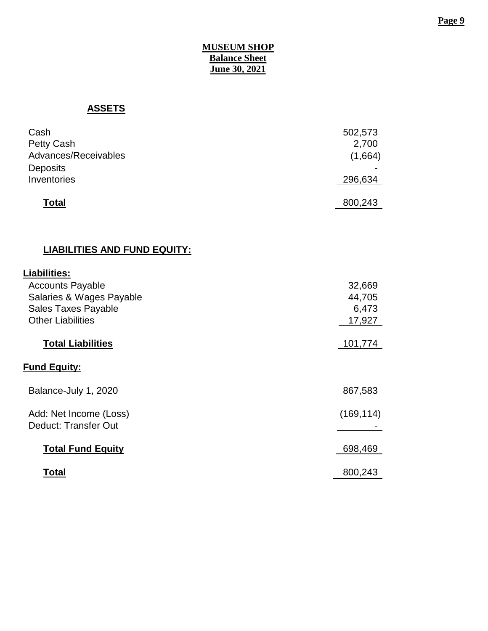#### **Page 9**

#### **MUSEUM SHOP Balance Sheet June 30, 2021**

## **ASSETS**

| Cash                 | 502,573 |
|----------------------|---------|
| Petty Cash           | 2,700   |
| Advances/Receivables | (1,664) |
| <b>Deposits</b>      |         |
| Inventories          | 296,634 |
| <b>Total</b>         | 800,243 |

## **LIABILITIES AND FUND EQUITY:**

| <b>Liabilities:</b>                            |            |
|------------------------------------------------|------------|
| <b>Accounts Payable</b>                        | 32,669     |
| Salaries & Wages Payable                       | 44,705     |
| <b>Sales Taxes Payable</b>                     | 6,473      |
| <b>Other Liabilities</b>                       | 17,927     |
|                                                |            |
| <b>Total Liabilities</b>                       | 101,774    |
| <b>Fund Equity:</b>                            |            |
| Balance-July 1, 2020                           | 867,583    |
| Add: Net Income (Loss)<br>Deduct: Transfer Out | (169, 114) |
| <b>Total Fund Equity</b>                       | 698,469    |
| Total                                          | 800,243    |